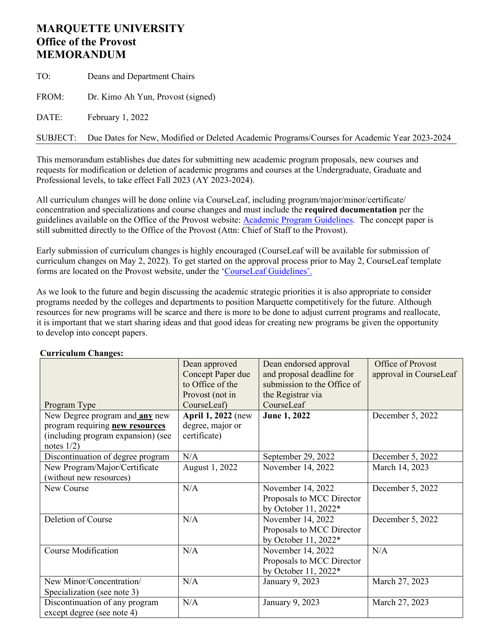# **MARQUETTE UNIVERSITY Office of the Provost MEMORANDUM**

TO: Deans and Department Chairs FROM: Dr. Kimo Ah Yun, Provost (signed) DATE: February 1, 2022

SUBJECT: Due Dates for New, Modified or Deleted Academic Programs/Courses for Academic Year 2023-2024

This memorandum establishes due dates for submitting new academic program proposals, new courses and requests for modification or deletion of academic programs and courses at the Undergraduate, Graduate and Professional levels, to take effect Fall 2023 (AY 2023-2024).

All curriculum changes will be done online via CourseLeaf, including program/major/minor/certificate/ concentration and specializations and course changes and must include the **required documentation** per the guidelines available on the Office of the Provost website: Academic [Program Guidelines.](http://www.marquette.edu/provost/program-guidelines.shtml) The concept paper is still submitted directly to the Office of the Provost (Attn: Chief of Staff to the Provost).

Early submission of curriculum changes is highly encouraged (CourseLeaf will be available for submission of curriculum changes on May 2, 2022). To get started on the approval process prior to May 2, CourseLeaf template forms are located on the Provost website, under the 'CourseLeaf [Guidelines'.](http://www.marquette.edu/provost/program-guidelines.shtml)

As we look to the future and begin discussing the academic strategic priorities it is also appropriate to consider programs needed by the colleges and departments to position Marquette competitively for the future. Although resources for new programs will be scarce and there is more to be done to adjust current programs and reallocate, it is important that we start sharing ideas and that good ideas for creating new programs be given the opportunity to develop into concept papers.

#### Program Type Dean approved Concept Paper due to Office of the Provost (not in CourseLeaf) Dean endorsed approval and proposal deadline for submission to the Office of the Registrar via CourseLeaf Office of Provost approval in CourseLeaf New Degree program and **any** new program requiring **new resources** (including program expansion) (see notes  $1/2$ ) **April 1, 2022** (new degree, major or certificate) **June 1, 2022** December 5, 2022 Discontinuation of degree program  $N/A$  September 29, 2022 December 5, 2022 New Program/Major/Certificate (without new resources) August 1, 2022 November 14, 2022 March 14, 2023 New Course N/A November 14, 2022 Proposals to MCC Director by October 11, 2022\* December 5, 2022 Deletion of Course N/A November 14, 2022 Proposals to MCC Director by October 11, 2022\* December 5, 2022 Course Modification N/A November 14, 2022 Proposals to MCC Director by October 11, 2022\* N/A New Minor/Concentration/ Specialization (see note 3) N/A January 9, 2023 March 27, 2023 Discontinuation of any program except degree (see note 4) N/A January 9, 2023 March 27, 2023

### **Curriculum Changes:**